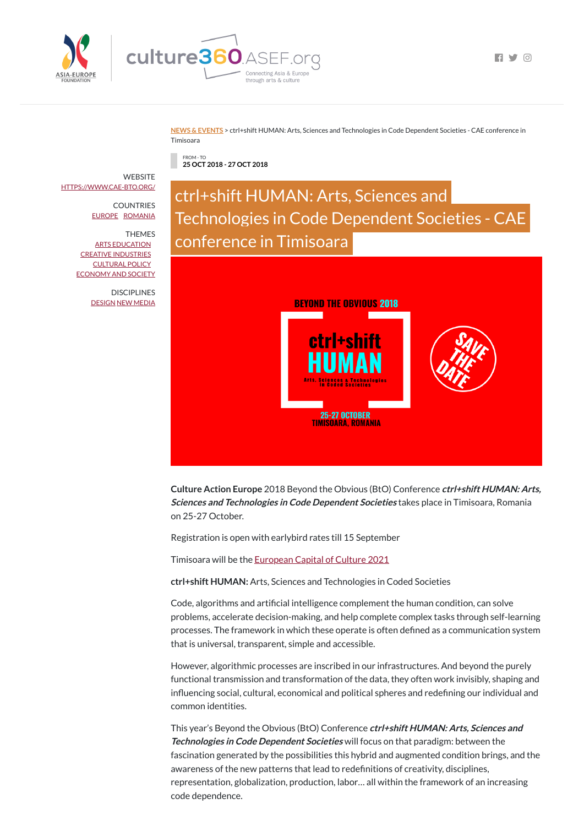

**FI Y 0** 

**NEWS & [EVENTS](https://culture360.asef.org/news-events/)** > ctrl+shift HUMAN: Arts, Sciences and Technologies in Code Dependent Societies - CAE conference in Timisoara

FROM - TO **25 OCT 2018 - 27 OCT 2018**

ctrl+shift HUMAN: Arts, Sciences and Technologies in Code Dependent Societies - CAE conference in Timisoara



**Culture Action Europe** 2018 Beyond the Obvious (BtO) Conference **ctrl+shift HUMAN: Arts, Sciences and Technologies in Code Dependent Societies** takes place in Timisoara, Romania on 25-27 October.

Code, algorithms and artificial intelligence complement the human condition, can solve problems, accelerate decision-making, and help complete complex tasks through self-learning

processes. The framework in which these operate is often defined as a communication system that is universal, transparent, simple and accessible.

Registration is open with earlybird rates till 15 September

Timisoara will be the [European](http://www.timisoara2021.ro/en/) Capital of Culture 2021

**ctrl+shift HUMAN:** Arts, Sciences and Technologies in Coded Societies

**WEBSITE** [HTTPS://WWW.CAE-BTO.ORG/](https://www.cae-bto.org/)

> **DISCIPLINES** [DESIGN](https://culture360.asef.org/disciplines/design/) NEW [MEDIA](https://culture360.asef.org/disciplines/new-media/)

> > However, algorithmic processes are inscribed in our infrastructures. And beyond the purely functional transmission and transformation of the data, they often work invisibly, shaping and influencing social, cultural, economical and political spheres and redefining our individual and common identities.

> > This year's Beyond the Obvious (BtO) Conference **ctrl+shift HUMAN: Arts, Sciences and Technologies in Code Dependent Societies** will focus on that paradigm: between the fascination generated by the possibilities this hybrid and augmented condition brings, and the awareness of the new patterns that lead to redefinitions of creativity, disciplines, representation, globalization, production, labor… all within the framework of an increasing code dependence.

COUNTRIES [EUROPE](https://culture360.asef.org/countries/europe/) [ROMANIA](https://culture360.asef.org/countries/romania/)

THEMES ARTS [EDUCATION](https://culture360.asef.org/themes/arts-education/) CREATIVE [INDUSTRIES](https://culture360.asef.org/themes/creative-industries/) [CULTURAL](https://culture360.asef.org/themes/cultural-policy/) POLICY [ECONOMY](https://culture360.asef.org/themes/economy-and-society/) AND SOCIETY